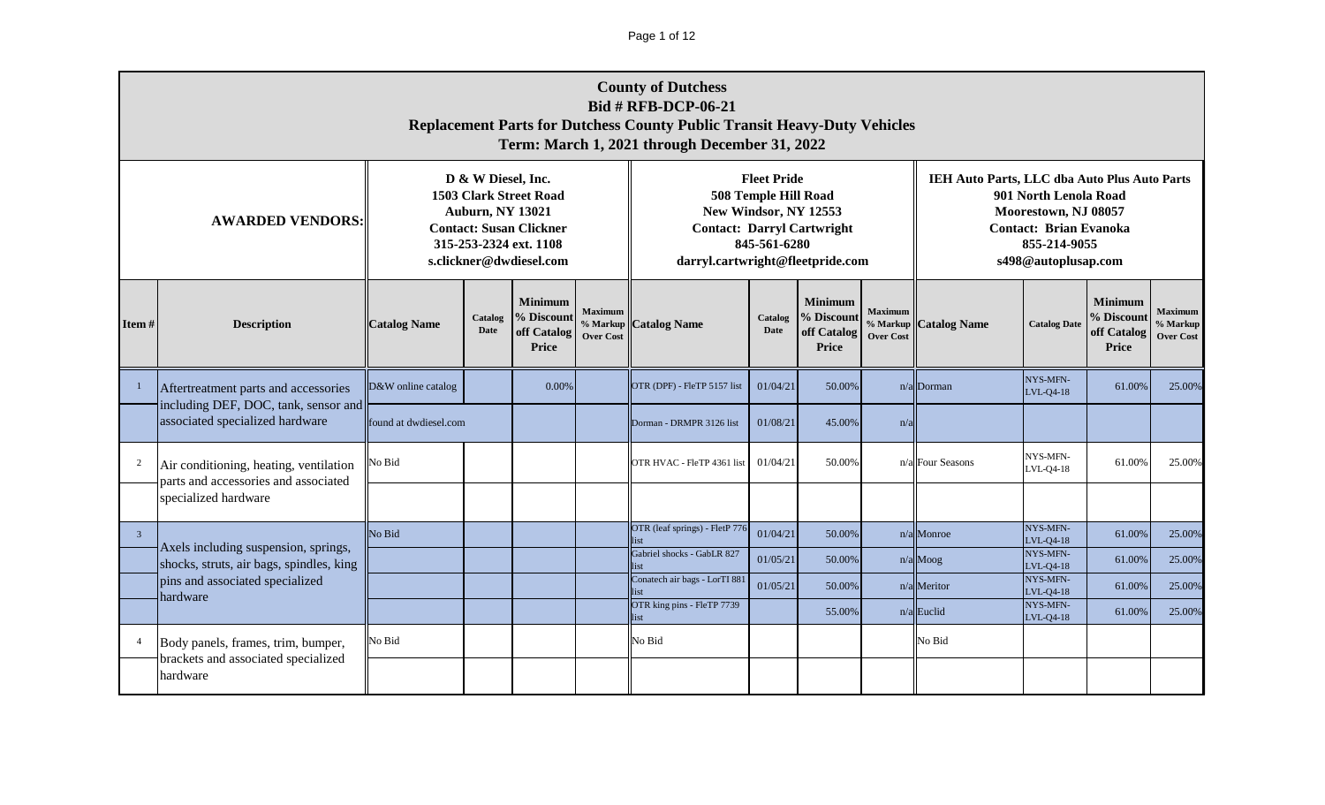Page 1 of 12

|                         | <b>County of Dutchess</b><br><b>Bid # RFB-DCP-06-21</b><br><b>Replacement Parts for Dutchess County Public Transit Heavy-Duty Vehicles</b><br>Term: March 1, 2021 through December 31, 2022                                                 |                       |             |                      |                                                |                                                                                                |                                                            |                                                      |                                                |                                              |                                                                                                                       |                                                             |                                                |
|-------------------------|---------------------------------------------------------------------------------------------------------------------------------------------------------------------------------------------------------------------------------------------|-----------------------|-------------|----------------------|------------------------------------------------|------------------------------------------------------------------------------------------------|------------------------------------------------------------|------------------------------------------------------|------------------------------------------------|----------------------------------------------|-----------------------------------------------------------------------------------------------------------------------|-------------------------------------------------------------|------------------------------------------------|
|                         | D & W Diesel, Inc.<br><b>1503 Clark Street Road</b><br><b>Auburn, NY 13021</b><br><b>AWARDED VENDORS:</b><br><b>Contact: Susan Clickner</b><br>315-253-2324 ext. 1108<br>s.clickner@dwdiesel.com<br><b>Minimum</b><br>% Discount<br>Catalog |                       |             |                      |                                                | New Windsor, NY 12553<br><b>Contact: Darryl Cartwright</b><br>darryl.cartwright@fleetpride.com | <b>Fleet Pride</b><br>508 Temple Hill Road<br>845-561-6280 |                                                      |                                                | IEH Auto Parts, LLC dba Auto Plus Auto Parts | 901 North Lenola Road<br>Moorestown, NJ 08057<br><b>Contact: Brian Evanoka</b><br>855-214-9055<br>s498@autoplusap.com |                                                             |                                                |
| Item $#$                | <b>Description</b>                                                                                                                                                                                                                          | <b>Catalog Name</b>   | <b>Date</b> | off Catalog<br>Price | <b>Maximum</b><br>% Markup<br><b>Over Cost</b> | Catalog<br><b>Catalog Name</b><br>Date                                                         |                                                            | <b>Minimum</b><br>% Discount<br>off Catalog<br>Price | <b>Maximum</b><br>% Markup<br><b>Over Cost</b> | <b>Catalog Name</b>                          | <b>Catalog Date</b>                                                                                                   | <b>Minimum</b><br>% Discount<br>off Catalog<br><b>Price</b> | <b>Maximum</b><br>% Markup<br><b>Over Cost</b> |
|                         | Aftertreatment parts and accessories                                                                                                                                                                                                        | D&W online catalog    |             | $0.00\%$             |                                                | OTR (DPF) - FleTP 5157 list                                                                    | 01/04/21                                                   | 50.00%                                               |                                                | n/a Dorman                                   | NYS-MFN-<br>LVL-04-18                                                                                                 | 61.00%                                                      | 25.00%                                         |
|                         | including DEF, DOC, tank, sensor and<br>associated specialized hardware                                                                                                                                                                     | found at dwdiesel.com |             |                      |                                                | Dorman - DRMPR 3126 list                                                                       | 01/08/21                                                   | 45.00%                                               | n/a                                            |                                              |                                                                                                                       |                                                             |                                                |
| 2                       | Air conditioning, heating, ventilation<br>parts and accessories and associated                                                                                                                                                              | No Bid                |             |                      |                                                | OTR HVAC - FleTP 4361 list                                                                     | 01/04/21                                                   | 50.00%                                               |                                                | n/a Four Seasons                             | NYS-MFN-<br>LVL-Q4-18                                                                                                 | 61.00%                                                      | 25.00%                                         |
|                         | specialized hardware                                                                                                                                                                                                                        |                       |             |                      |                                                |                                                                                                |                                                            |                                                      |                                                |                                              |                                                                                                                       |                                                             |                                                |
| $\overline{\mathbf{3}}$ | Axels including suspension, springs,                                                                                                                                                                                                        | No Bid                |             |                      |                                                | OTR (leaf springs) - FletP 776<br>ist                                                          | 01/04/21                                                   | 50.00%                                               |                                                | n/a Monroe                                   | NYS-MFN-<br>$LVL-Q4-18$                                                                                               | 61.00%                                                      | 25.00%                                         |
|                         | shocks, struts, air bags, spindles, king                                                                                                                                                                                                    |                       |             |                      |                                                | Gabriel shocks - GabLR 827<br>ist                                                              | 01/05/21                                                   | 50.00%                                               |                                                | $n/a$ Moog                                   | NYS-MFN-<br>LVL-Q4-18<br>NYS-MFN-                                                                                     | 61.00%                                                      | 25.00%                                         |
|                         | pins and associated specialized<br>hardware                                                                                                                                                                                                 |                       |             |                      |                                                | Conatech air bags - LorTI 881<br>list<br>OTR king pins - FleTP 7739                            | 01/05/21                                                   | 50.00%                                               |                                                | $n/a$ Meritor                                | LVL-04-18<br>NYS-MFN-                                                                                                 | 61.00%                                                      | 25.00%                                         |
|                         |                                                                                                                                                                                                                                             |                       |             |                      |                                                | list                                                                                           |                                                            | 55.00%                                               |                                                | $n/a$ Euclid                                 | LVL-04-18                                                                                                             | 61.00%                                                      | 25.00%                                         |
| $\overline{4}$          | Body panels, frames, trim, bumper,<br>brackets and associated specialized<br>hardware                                                                                                                                                       | No Bid                |             |                      |                                                | No Bid                                                                                         |                                                            |                                                      |                                                | No Bid                                       |                                                                                                                       |                                                             |                                                |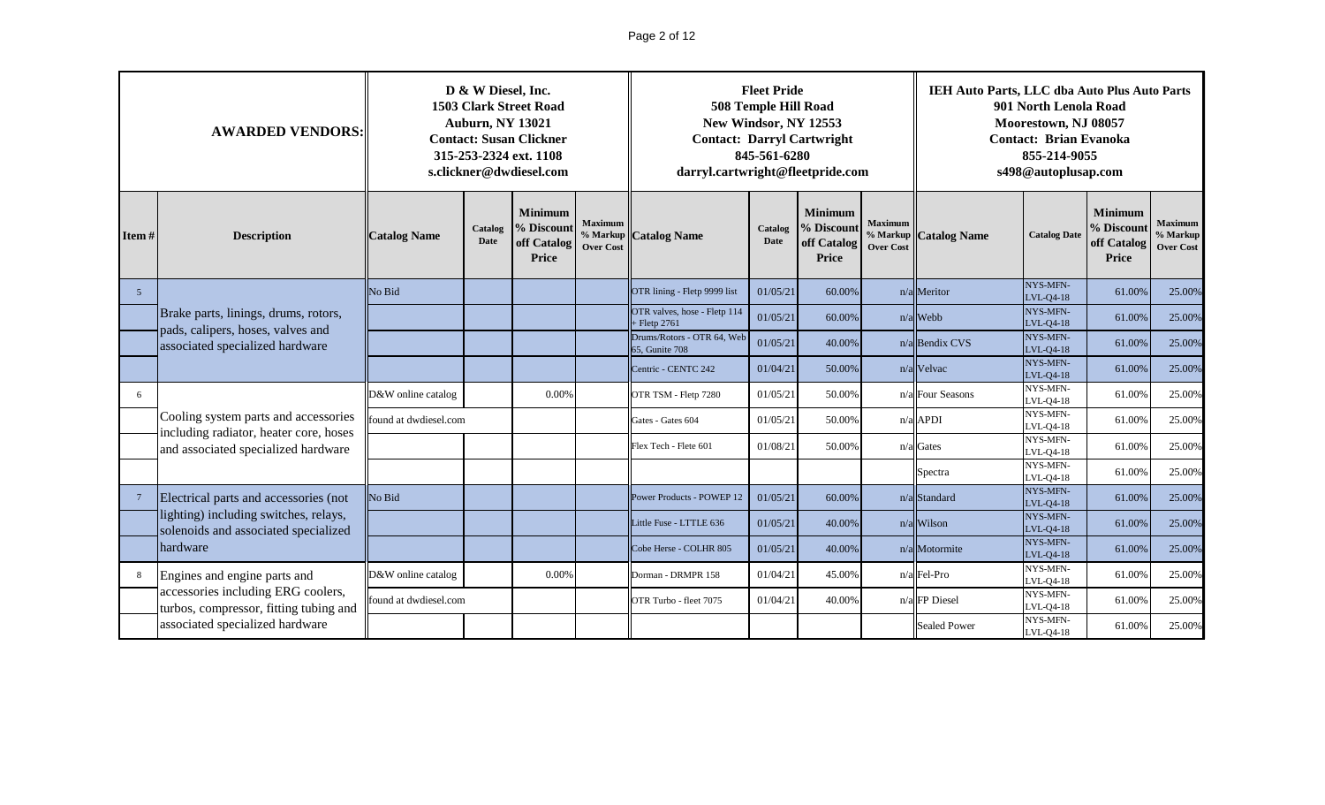# Page 2 of 12

|       | <b>AWARDED VENDORS:</b>                                                        |                       | D & W Diesel, Inc.<br><b>Auburn, NY 13021</b> | <b>1503 Clark Street Road</b><br><b>Contact: Susan Clickner</b><br>315-253-2324 ext. 1108<br>s.clickner@dwdiesel.com |                                                | darryl.cartwright@fleetpride.com               | <b>Fleet Pride</b><br>508 Temple Hill Road<br>New Windsor, NY 12553<br>845-561-6280 | <b>Contact: Darryl Cartwright</b>                    |                                    | IEH Auto Parts, LLC dba Auto Plus Auto Parts | 901 North Lenola Road<br>Moorestown, NJ 08057<br><b>Contact: Brian Evanoka</b><br>855-214-9055<br>s498@autoplusap.com |                                                      |                                                |
|-------|--------------------------------------------------------------------------------|-----------------------|-----------------------------------------------|----------------------------------------------------------------------------------------------------------------------|------------------------------------------------|------------------------------------------------|-------------------------------------------------------------------------------------|------------------------------------------------------|------------------------------------|----------------------------------------------|-----------------------------------------------------------------------------------------------------------------------|------------------------------------------------------|------------------------------------------------|
| Item# | <b>Description</b>                                                             | <b>Catalog Name</b>   | Catalog<br><b>Date</b>                        | <b>Minimum</b><br>% Discount<br>off Catalog<br>Price                                                                 | <b>Maximum</b><br>% Markup<br><b>Over Cost</b> | <b>Catalog Name</b>                            | Catalog<br><b>Date</b>                                                              | <b>Minimum</b><br>% Discount<br>off Catalog<br>Price | <b>Maximum</b><br><b>Over Cost</b> | % Markup Catalog Name                        | <b>Catalog Date</b>                                                                                                   | <b>Minimum</b><br>% Discount<br>off Catalog<br>Price | <b>Maximum</b><br>% Markup<br><b>Over Cost</b> |
| 5     |                                                                                | No Bid                |                                               |                                                                                                                      |                                                | OTR lining - Fletp 9999 list                   | 01/05/21                                                                            | 60.00%                                               |                                    | $n/a$ Meritor                                | NYS-MFN-<br>LVL-Q4-18                                                                                                 | 61.00%                                               | 25.00%                                         |
|       | Brake parts, linings, drums, rotors,<br>pads, calipers, hoses, valves and      |                       |                                               |                                                                                                                      |                                                | OTR valves, hose - Fletp 114<br>$+$ Fletp 2761 | 01/05/21                                                                            | 60.00%                                               |                                    | $n/a$ Webb                                   | NYS-MFN-<br>LVL-Q4-18                                                                                                 | 61.00%                                               | 25.00%                                         |
|       | associated specialized hardware                                                |                       |                                               |                                                                                                                      |                                                | Drums/Rotors - OTR 64, Web<br>65, Gunite 708   | 01/05/21                                                                            | 40.00%                                               |                                    | n/a Bendix CVS                               | NYS-MFN-<br>LVL-Q4-18                                                                                                 | 61.00%                                               | 25.00%                                         |
|       |                                                                                |                       |                                               |                                                                                                                      |                                                | Centric - CENTC 242                            | 01/04/21                                                                            | 50.00%                                               |                                    | n/a Velvac                                   | NYS-MFN-<br>LVL-04-18                                                                                                 | 61.00%                                               | 25.00%                                         |
| 6     |                                                                                | D&W online catalog    |                                               | 0.00%                                                                                                                |                                                | OTR TSM - Fletp 7280                           | 01/05/21                                                                            | 50.00%                                               |                                    | n/a Four Seasons                             | NYS-MFN-<br>LVL-04-18                                                                                                 | 61.00%                                               | 25.00%                                         |
|       | Cooling system parts and accessories<br>including radiator, heater core, hoses | found at dwdiesel.com |                                               |                                                                                                                      |                                                | Gates - Gates 604                              | 01/05/21                                                                            | 50.00%                                               |                                    | $n/a$ APDI                                   | NYS-MFN-<br>LVL-04-18                                                                                                 | 61.00%                                               | 25.00%                                         |
|       | and associated specialized hardware                                            |                       |                                               |                                                                                                                      |                                                | Flex Tech - Flete 601                          | 01/08/21                                                                            | 50.00%                                               |                                    | n/a Gates                                    | NYS-MFN-<br>LVL-Q4-18                                                                                                 | 61.00%                                               | 25.00%                                         |
|       |                                                                                |                       |                                               |                                                                                                                      |                                                |                                                |                                                                                     |                                                      |                                    | Spectra                                      | NYS-MFN-<br>LVL-04-18                                                                                                 | 61.00%                                               | 25.00%                                         |
|       | Electrical parts and accessories (not                                          | No Bid                |                                               |                                                                                                                      |                                                | Power Products - POWEP 12                      | 01/05/21                                                                            | 60.00%                                               |                                    | n/a Standard                                 | NYS-MFN-<br>LVL-Q4-18                                                                                                 | 61.00%                                               | 25.00%                                         |
|       | lighting) including switches, relays,<br>solenoids and associated specialized  |                       |                                               |                                                                                                                      |                                                | Little Fuse - LTTLE 636                        | 01/05/21                                                                            | 40.00%                                               |                                    | n/a Wilson                                   | NYS-MFN-<br>LVL-Q4-18                                                                                                 | 61.00%                                               | 25.00%                                         |
|       | hardware                                                                       |                       |                                               |                                                                                                                      |                                                | Cobe Herse - COLHR 805                         | 01/05/21                                                                            | 40.00%                                               |                                    | n/a Motormite                                | NYS-MFN-<br>LVL-Q4-18                                                                                                 | 61.00%                                               | 25.00%                                         |
| 8     | Engines and engine parts and                                                   | D&W online catalog    |                                               | 0.00%                                                                                                                |                                                | Dorman - DRMPR 158                             | 01/04/21                                                                            | 45.00%                                               |                                    | n/a Fel-Pro                                  | NYS-MFN-<br>LVL-Q4-18                                                                                                 | 61.00%                                               | 25.00%                                         |
|       | accessories including ERG coolers,<br>turbos, compressor, fitting tubing and   | found at dwdiesel.com |                                               |                                                                                                                      |                                                | OTR Turbo - fleet 7075                         | 01/04/21                                                                            | 40.00%                                               |                                    | n/a FP Diesel                                | NYS-MFN-<br>LVL-Q4-18                                                                                                 | 61.00%                                               | 25.00%                                         |
|       | associated specialized hardware                                                |                       |                                               |                                                                                                                      |                                                |                                                |                                                                                     |                                                      |                                    | <b>Sealed Power</b>                          | NYS-MFN-<br>LVL-Q4-18                                                                                                 | 61.00%                                               | 25.00%                                         |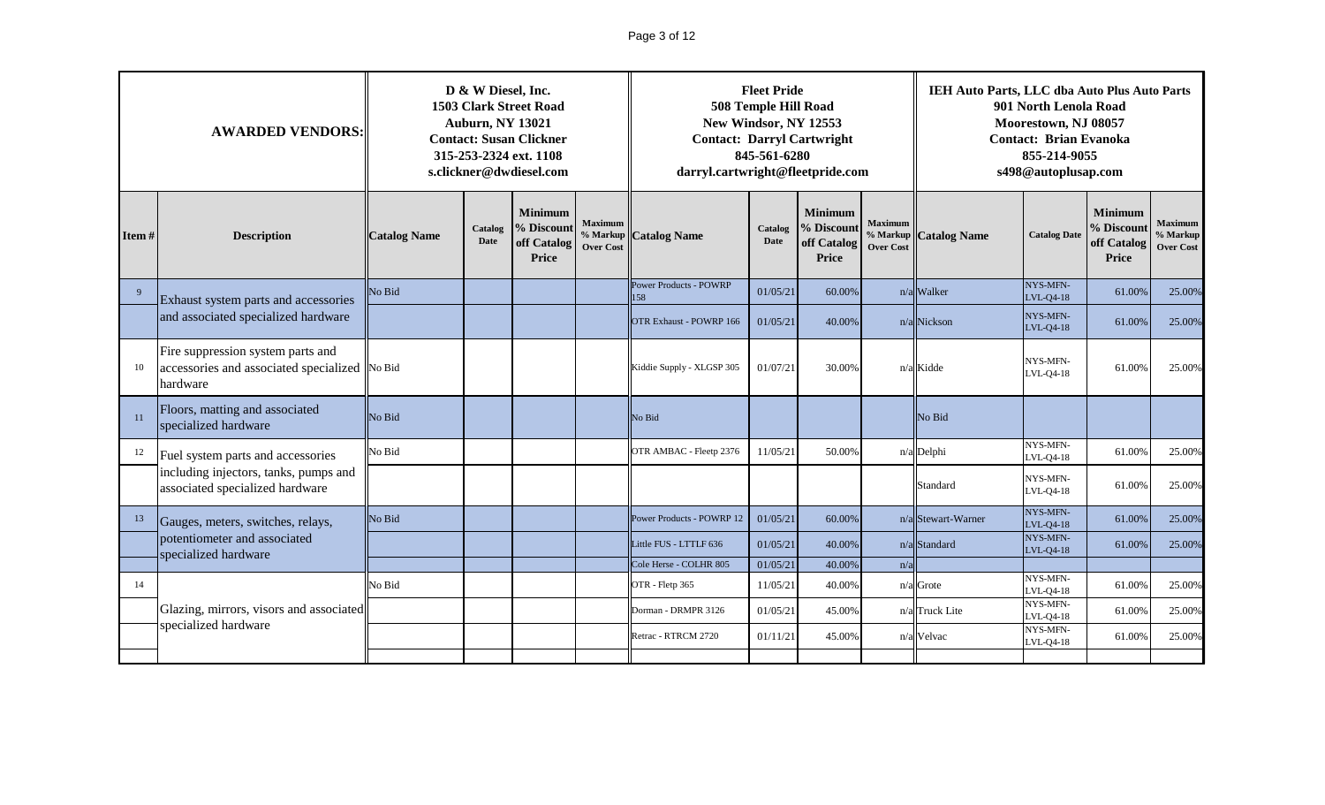# Page 3 of 12

|              | <b>AWARDED VENDORS:</b>                                                                                                                                   | D & W Diesel, Inc.<br><b>1503 Clark Street Road</b><br><b>Auburn, NY 13021</b><br><b>Contact: Susan Clickner</b><br>315-253-2324 ext. 1108<br>s.clickner@dwdiesel.com<br><b>Minimum</b> |            |                     |                        | New Windsor, NY 12553<br>darryl.cartwright@fleetpride.com | <b>Fleet Pride</b><br>508 Temple Hill Road<br>845-561-6280 | <b>Contact: Darryl Cartwright</b> |                     | IEH Auto Parts, LLC dba Auto Plus Auto Parts<br>901 North Lenola Road<br>Moorestown, NJ 08057<br><b>Contact: Brian Evanoka</b><br>855-214-9055<br>s498@autoplusap.com |                                                |        |        |  |
|--------------|-----------------------------------------------------------------------------------------------------------------------------------------------------------|-----------------------------------------------------------------------------------------------------------------------------------------------------------------------------------------|------------|---------------------|------------------------|-----------------------------------------------------------|------------------------------------------------------------|-----------------------------------|---------------------|-----------------------------------------------------------------------------------------------------------------------------------------------------------------------|------------------------------------------------|--------|--------|--|
| Item $#$     | <b>Maximum</b><br>% Discount<br>Catalog<br><b>Description</b><br><b>Catalog Name</b><br><b>Date</b><br>off Catalog<br><b>Over Cost</b><br>Price<br>No Bid |                                                                                                                                                                                         | $%$ Markup | <b>Catalog Name</b> | Catalog<br><b>Date</b> | <b>Minimum</b><br>% Discount<br>off Catalog<br>Price      | <b>Maximum</b><br>% Markup<br><b>Over Cost</b>             | <b>Catalog Name</b>               | <b>Catalog Date</b> | <b>Minimum</b><br>% Discount<br>off Catalog<br>Price                                                                                                                  | <b>Maximum</b><br>% Markup<br><b>Over Cost</b> |        |        |  |
| $\mathbf{q}$ | Exhaust system parts and accessories                                                                                                                      |                                                                                                                                                                                         |            |                     |                        | Power Products - POWRP<br>158                             | 01/05/21                                                   | 60.00%                            |                     | n/a Walker                                                                                                                                                            | NYS-MFN-<br>LVL-Q4-18                          | 61.00% | 25.00% |  |
|              | and associated specialized hardware                                                                                                                       |                                                                                                                                                                                         |            |                     |                        | <b>OTR Exhaust - POWRP 166</b>                            | 01/05/21                                                   | 40.00%                            |                     | n/a Nickson                                                                                                                                                           | NYS-MFN-<br>LVL-Q4-18                          | 61.00% | 25.00% |  |
| 10           | Fire suppression system parts and<br>accessories and associated specialized No Bid<br>hardware                                                            |                                                                                                                                                                                         |            |                     |                        | Kiddie Supply - XLGSP 305                                 | 01/07/21                                                   | 30.00%                            |                     | n/a Kidde                                                                                                                                                             | NYS-MFN-<br>LVL-Q4-18                          | 61.00% | 25.00% |  |
| 11           | Floors, matting and associated<br>specialized hardware                                                                                                    | No Bid                                                                                                                                                                                  |            |                     |                        | No Bid                                                    |                                                            |                                   |                     | No Bid                                                                                                                                                                |                                                |        |        |  |
| 12           | Fuel system parts and accessories                                                                                                                         | No Bid                                                                                                                                                                                  |            |                     |                        | OTR AMBAC - Fleetp 2376                                   | 11/05/21                                                   | 50.00%                            |                     | n/a Delphi                                                                                                                                                            | NYS-MFN-<br>$-VL-Q4-18$                        | 61.00% | 25.00% |  |
|              | including injectors, tanks, pumps and<br>associated specialized hardware                                                                                  |                                                                                                                                                                                         |            |                     |                        |                                                           |                                                            |                                   |                     | Standard                                                                                                                                                              | NYS-MFN-<br>LVL-Q4-18                          | 61.00% | 25.00% |  |
| 13           | Gauges, meters, switches, relays,                                                                                                                         | No Bid                                                                                                                                                                                  |            |                     |                        | Power Products - POWRP 12                                 | 01/05/21                                                   | 60.00%                            |                     | $n/a$ Stewart-Warner                                                                                                                                                  | NYS-MFN-<br>LVL-Q4-18                          | 61.00% | 25.00% |  |
|              | potentiometer and associated<br>specialized hardware                                                                                                      |                                                                                                                                                                                         |            |                     |                        | Little FUS - LTTLF 636                                    | 01/05/21                                                   | 40.00%                            |                     | n/a Standard                                                                                                                                                          | NYS-MFN-<br>LVL-Q4-18                          | 61.00% | 25.00% |  |
|              |                                                                                                                                                           |                                                                                                                                                                                         |            |                     |                        | Cole Herse - COLHR 805                                    | 01/05/21                                                   | 40.00%                            | n/a                 |                                                                                                                                                                       | NYS-MFN-                                       |        |        |  |
| 14           |                                                                                                                                                           | No Bid                                                                                                                                                                                  |            |                     |                        | OTR - Fletp 365                                           | 11/05/21                                                   | 40.00%                            |                     | $n/a$ Grote                                                                                                                                                           | LVL-Q4-18                                      | 61.00% | 25.00% |  |
|              | Glazing, mirrors, visors and associated<br>specialized hardware                                                                                           |                                                                                                                                                                                         |            |                     |                        | Dorman - DRMPR 3126                                       | 01/05/21                                                   | 45.00%                            |                     | n/a Truck Lite                                                                                                                                                        | NYS-MFN-<br>LVL-Q4-18                          | 61.00% | 25.00% |  |
|              |                                                                                                                                                           |                                                                                                                                                                                         |            |                     |                        | Retrac - RTRCM 2720                                       | 01/11/21                                                   | 45.00%                            |                     | n/a Velvac                                                                                                                                                            | NYS-MFN-<br>LVL-Q4-18                          | 61.00% | 25.00% |  |
|              |                                                                                                                                                           |                                                                                                                                                                                         |            |                     |                        |                                                           |                                                            |                                   |                     |                                                                                                                                                                       |                                                |        |        |  |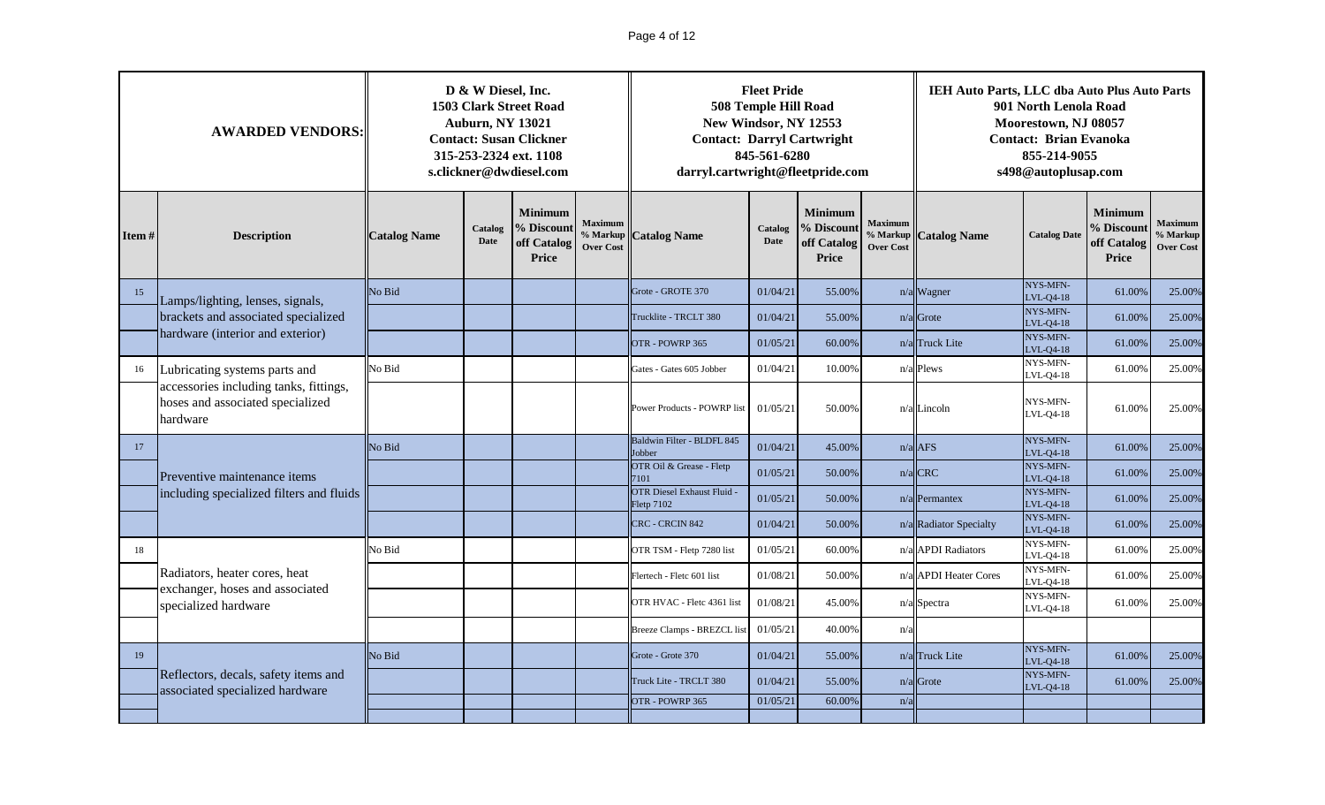# Page 4 of 12

|       | <b>AWARDED VENDORS:</b>                                                                                                               |        | D & W Diesel, Inc.<br><b>Auburn, NY 13021</b> | <b>1503 Clark Street Road</b><br><b>Contact: Susan Clickner</b><br>315-253-2324 ext. 1108<br>s.clickner@dwdiesel.com |                        | <b>Contact: Darryl Cartwright</b><br>darryl.cartwright@fleetpride.com | <b>Fleet Pride</b><br>508 Temple Hill Road<br>New Windsor, NY 12553<br>845-561-6280 |                              |                     | IEH Auto Parts, LLC dba Auto Plus Auto Parts         | 901 North Lenola Road<br>Moorestown, NJ 08057<br><b>Contact: Brian Evanoka</b><br>855-214-9055<br>s498@autoplusap.com |        |        |
|-------|---------------------------------------------------------------------------------------------------------------------------------------|--------|-----------------------------------------------|----------------------------------------------------------------------------------------------------------------------|------------------------|-----------------------------------------------------------------------|-------------------------------------------------------------------------------------|------------------------------|---------------------|------------------------------------------------------|-----------------------------------------------------------------------------------------------------------------------|--------|--------|
| Item# | <b>Minimum</b><br>% Discount<br>Catalog<br><b>Description</b><br><b>Catalog Name</b><br>Date<br>off Catalog<br><b>Price</b><br>No Bid |        | <b>Maximum</b><br><b>Over Cost</b>            | % Markup Catalog Name                                                                                                | Catalog<br><b>Date</b> | <b>Minimum</b><br>% Discount<br>off Catalog<br><b>Price</b>           | <b>Maximum</b><br>Over Cost                                                         | % Markup <b>Catalog Name</b> | <b>Catalog Date</b> | <b>Minimum</b><br>% Discount<br>off Catalog<br>Price | <b>Maximum</b><br>% Markup<br><b>Over Cost</b>                                                                        |        |        |
| 15    | Lamps/lighting, lenses, signals,                                                                                                      |        |                                               |                                                                                                                      |                        | Grote - GROTE 370                                                     | 01/04/21                                                                            | 55.00%                       |                     | n/a Wagner                                           | NYS-MFN-<br>LVL-Q4-18                                                                                                 | 61.00% | 25.00% |
|       | brackets and associated specialized<br>hardware (interior and exterior)                                                               |        |                                               |                                                                                                                      |                        | Trucklite - TRCLT 380                                                 | 01/04/21                                                                            | 55.00%                       |                     | $n/a$ Grote                                          | NYS-MFN-<br>LVL-Q4-18                                                                                                 | 61.00% | 25.00% |
|       |                                                                                                                                       |        |                                               |                                                                                                                      |                        | OTR - POWRP 365                                                       | 01/05/21                                                                            | 60.00%                       |                     | n/a Truck Lite                                       | NYS-MFN-<br>LVL-Q4-18                                                                                                 | 61.00% | 25.00% |
| 16    | Lubricating systems parts and<br>accessories including tanks, fittings,                                                               | No Bid |                                               |                                                                                                                      |                        | Gates - Gates 605 Jobber                                              | 01/04/21                                                                            | 10.00%                       |                     | $n/a$ Plews                                          | NYS-MFN-<br>LVL-Q4-18                                                                                                 | 61.00% | 25.00% |
|       | hoses and associated specialized<br>hardware                                                                                          |        |                                               |                                                                                                                      |                        | Power Products - POWRP list                                           | 01/05/21                                                                            | 50.00%                       |                     | $n/a$ Lincoln                                        | NYS-MFN-<br>LVL-Q4-18                                                                                                 | 61.00% | 25.00% |
| 17    |                                                                                                                                       | No Bid |                                               |                                                                                                                      |                        | Baldwin Filter - BLDFL 845<br><b>Jobber</b>                           | 01/04/21                                                                            | 45.00%                       |                     | $n/a$ AFS                                            | NYS-MFN-<br>LVL-Q4-18                                                                                                 | 61.00% | 25.00% |
|       | Preventive maintenance items                                                                                                          |        |                                               |                                                                                                                      |                        | OTR Oil & Grease - Fletp<br>7101                                      | 01/05/21                                                                            | 50.00%                       |                     | $n/a$ CRC                                            | NYS-MFN-<br>LVL-04-18                                                                                                 | 61.00% | 25.00% |
|       | including specialized filters and fluids                                                                                              |        |                                               |                                                                                                                      |                        | <b>OTR Diesel Exhaust Fluid -</b><br>Fletp 7102                       | 01/05/21                                                                            | 50.00%                       |                     | $n/a$ Permantex                                      | NYS-MFN-<br>LVL-Q4-18                                                                                                 | 61.00% | 25.00% |
|       |                                                                                                                                       |        |                                               |                                                                                                                      |                        | CRC - CRCIN 842                                                       | 01/04/21                                                                            | 50.00%                       |                     | n/a Radiator Specialty                               | NYS-MFN-<br>LVL-Q4-18                                                                                                 | 61.00% | 25.00% |
| 18    |                                                                                                                                       | No Bid |                                               |                                                                                                                      |                        | OTR TSM - Fletp 7280 list                                             | 01/05/21                                                                            | 60.00%                       |                     | n/a APDI Radiators                                   | NYS-MFN-<br>LVL-Q4-18                                                                                                 | 61.00% | 25.00% |
|       | Radiators, heater cores, heat<br>exchanger, hoses and associated                                                                      |        |                                               |                                                                                                                      |                        | Flertech - Fletc 601 list                                             | 01/08/21                                                                            | 50.00%                       |                     | n/a APDI Heater Cores                                | <b>NYS-MFN-</b><br>LVL-Q4-18                                                                                          | 61.00% | 25.00% |
|       | specialized hardware                                                                                                                  |        |                                               |                                                                                                                      |                        | OTR HVAC - Fletc 4361 list                                            | 01/08/21                                                                            | 45.00%                       |                     | n/a Spectra                                          | NYS-MFN-<br>LVL-Q4-18                                                                                                 | 61.00% | 25.00% |
|       |                                                                                                                                       |        |                                               |                                                                                                                      |                        | Breeze Clamps - BREZCL list                                           | 01/05/21                                                                            | 40.00%                       | n/a                 |                                                      |                                                                                                                       |        |        |
| 19    |                                                                                                                                       | No Bid |                                               |                                                                                                                      |                        | Grote - Grote 370                                                     | 01/04/21                                                                            | 55.00%                       |                     | n/a Truck Lite                                       | NYS-MFN-<br>$V L-Q4-18$                                                                                               | 61.00% | 25.00% |
|       | Reflectors, decals, safety items and<br>associated specialized hardware                                                               |        |                                               |                                                                                                                      |                        | Truck Lite - TRCLT 380                                                | 01/04/21                                                                            | 55.00%                       |                     | $n/a$ Grote                                          | NYS-MFN-<br>$-VL-04-18$                                                                                               | 61.00% | 25.00% |
|       |                                                                                                                                       |        |                                               |                                                                                                                      |                        | OTR - POWRP 365                                                       | 01/05/21                                                                            | 60.00%                       | n/a                 |                                                      |                                                                                                                       |        |        |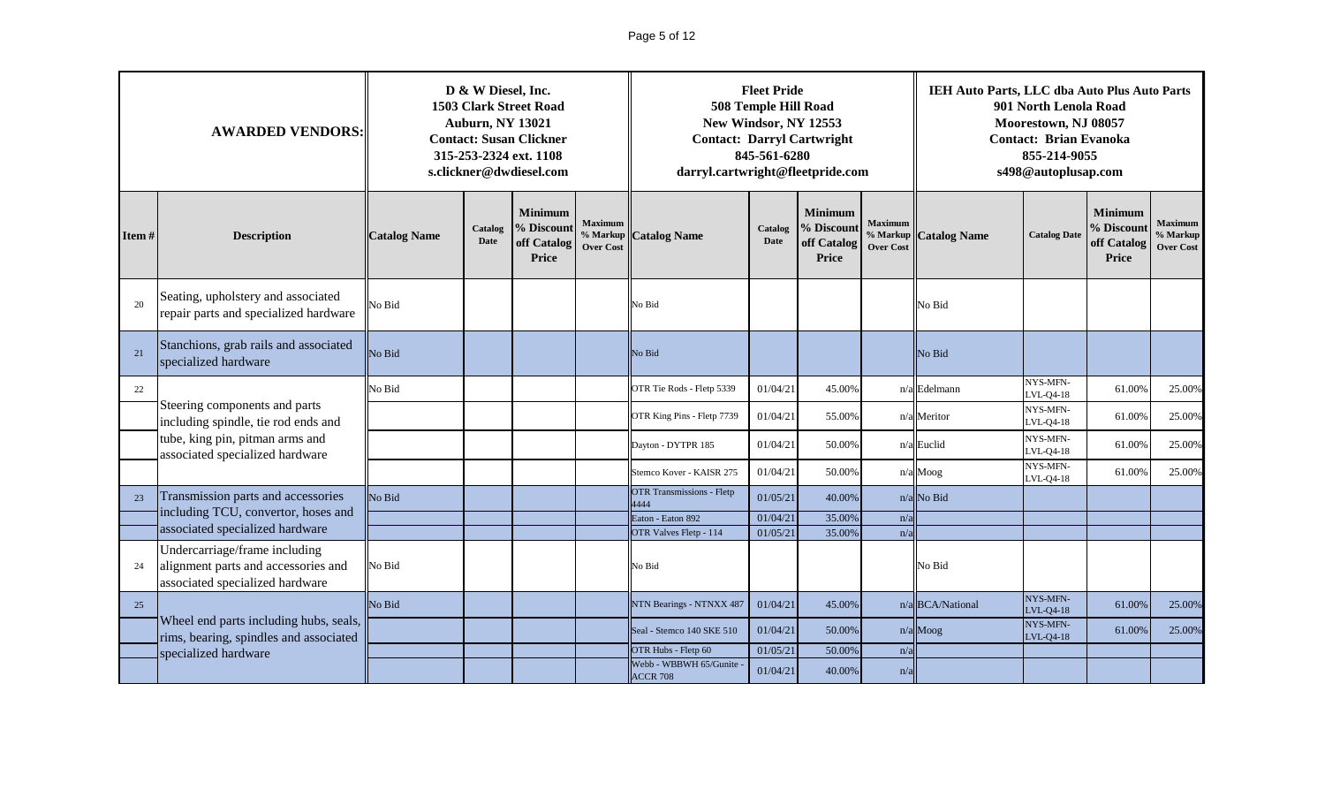# Page 5 of 12

|       | <b>AWARDED VENDORS:</b>                                                                                                     | D & W Diesel, Inc.<br><b>1503 Clark Street Road</b><br><b>Auburn, NY 13021</b><br><b>Contact: Susan Clickner</b><br>315-253-2324 ext. 1108<br>s.clickner@dwdiesel.com |                                                |                     |                                                                                                                      | <b>Contact: Darryl Cartwright</b><br>darryl.cartwright@fleetpride.com | <b>Fleet Pride</b><br>508 Temple Hill Road<br>New Windsor, NY 12553<br>845-561-6280 |                       |                     | IEH Auto Parts, LLC dba Auto Plus Auto Parts<br>901 North Lenola Road<br>Moorestown, NJ 08057<br><b>Contact: Brian Evanoka</b><br>855-214-9055<br>s498@autoplusap.com |                                                |        |        |  |
|-------|-----------------------------------------------------------------------------------------------------------------------------|-----------------------------------------------------------------------------------------------------------------------------------------------------------------------|------------------------------------------------|---------------------|----------------------------------------------------------------------------------------------------------------------|-----------------------------------------------------------------------|-------------------------------------------------------------------------------------|-----------------------|---------------------|-----------------------------------------------------------------------------------------------------------------------------------------------------------------------|------------------------------------------------|--------|--------|--|
| Item# | <b>Minimum</b><br>% Discount<br>Catalog<br><b>Description</b><br><b>Catalog Name</b><br><b>Date</b><br>off Catalog<br>Price |                                                                                                                                                                       | <b>Maximum</b><br>% Markup<br><b>Over Cost</b> | <b>Catalog Name</b> | <b>Minimum</b><br><b>Maximum</b><br>% Discount<br>Catalog<br><b>Date</b><br>off Catalog<br><b>Over Cost</b><br>Price |                                                                       |                                                                                     | % Markup Catalog Name | <b>Catalog Date</b> | <b>Minimum</b><br>% Discoun<br>off Catalog<br>Price                                                                                                                   | <b>Maximum</b><br>% Markup<br><b>Over Cost</b> |        |        |  |
| 20    | Seating, upholstery and associated<br>repair parts and specialized hardware                                                 | No Bid                                                                                                                                                                |                                                |                     |                                                                                                                      | No Bid                                                                |                                                                                     |                       |                     | No Bid                                                                                                                                                                |                                                |        |        |  |
| 21    | Stanchions, grab rails and associated<br>specialized hardware                                                               | No Bid                                                                                                                                                                |                                                |                     |                                                                                                                      | No Bid                                                                |                                                                                     |                       |                     | No Bid                                                                                                                                                                |                                                |        |        |  |
| 22    |                                                                                                                             | No Bid                                                                                                                                                                |                                                |                     |                                                                                                                      | OTR Tie Rods - Fletp 5339                                             | 01/04/21                                                                            | 45.00%                |                     | n/a Edelmann                                                                                                                                                          | NYS-MFN-<br>$-VL-Q4-18$                        | 61.00% | 25.00% |  |
|       | Steering components and parts<br>including spindle, tie rod ends and                                                        |                                                                                                                                                                       |                                                |                     |                                                                                                                      | OTR King Pins - Fletp 7739                                            | 01/04/21                                                                            | 55.00%                |                     | n/a Meritor                                                                                                                                                           | NYS-MFN-<br>$VL-Q4-18$                         | 61.00% | 25.00% |  |
|       | tube, king pin, pitman arms and<br>associated specialized hardware                                                          |                                                                                                                                                                       |                                                |                     |                                                                                                                      | Dayton - DYTPR 185                                                    | 01/04/21                                                                            | 50.00%                |                     | $n/a$ Euclid                                                                                                                                                          | NYS-MFN-<br>$-VL-Q4-18$                        | 61.00% | 25.00% |  |
|       |                                                                                                                             |                                                                                                                                                                       |                                                |                     |                                                                                                                      | Stemco Kover - KAISR 275                                              | 01/04/21                                                                            | 50.00%                |                     | $n/a$ Moog                                                                                                                                                            | NYS-MFN-<br>$-VL-Q4-18$                        | 61.00% | 25.00% |  |
| 23    | Transmission parts and accessories                                                                                          | No Bid                                                                                                                                                                |                                                |                     |                                                                                                                      | <b>OTR Transmissions - Fletp</b><br>1444                              | 01/05/21                                                                            | 40.00%                |                     | n/a No Bid                                                                                                                                                            |                                                |        |        |  |
|       | including TCU, convertor, hoses and<br>associated specialized hardware                                                      |                                                                                                                                                                       |                                                |                     |                                                                                                                      | Eaton - Eaton 892                                                     | 01/04/21                                                                            | 35.00%                | n/a                 |                                                                                                                                                                       |                                                |        |        |  |
|       | Undercarriage/frame including                                                                                               |                                                                                                                                                                       |                                                |                     |                                                                                                                      | OTR Valves Fletp - 114                                                | 01/05/21                                                                            | 35.00%                | n/a                 |                                                                                                                                                                       |                                                |        |        |  |
| 24    | alignment parts and accessories and<br>associated specialized hardware                                                      | No Bid                                                                                                                                                                |                                                |                     |                                                                                                                      | No Bid                                                                |                                                                                     |                       |                     | No Bid                                                                                                                                                                |                                                |        |        |  |
| 25    |                                                                                                                             | No Bid                                                                                                                                                                |                                                |                     |                                                                                                                      | NTN Bearings - NTNXX 487                                              | 01/04/21                                                                            | 45.00%                |                     | n/a BCA/National                                                                                                                                                      | NYS-MFN-<br>LVL-Q4-18                          | 61.00% | 25.00% |  |
|       | Wheel end parts including hubs, seals,<br>rims, bearing, spindles and associated<br>specialized hardware                    |                                                                                                                                                                       |                                                |                     |                                                                                                                      | Seal - Stemco 140 SKE 510                                             | 01/04/21                                                                            | 50.00%                |                     | n/a Moog                                                                                                                                                              | NYS-MFN-<br>LVL-Q4-18                          | 61.00% | 25.00% |  |
|       |                                                                                                                             |                                                                                                                                                                       |                                                |                     |                                                                                                                      | OTR Hubs - Fletp 60                                                   | 01/05/21                                                                            | 50.00%                | n/a                 |                                                                                                                                                                       |                                                |        |        |  |
|       |                                                                                                                             |                                                                                                                                                                       |                                                |                     |                                                                                                                      | Webb - WBBWH 65/Gunite<br><b>ACCR 708</b>                             | 01/04/21                                                                            | 40.00%                | n/a                 |                                                                                                                                                                       |                                                |        |        |  |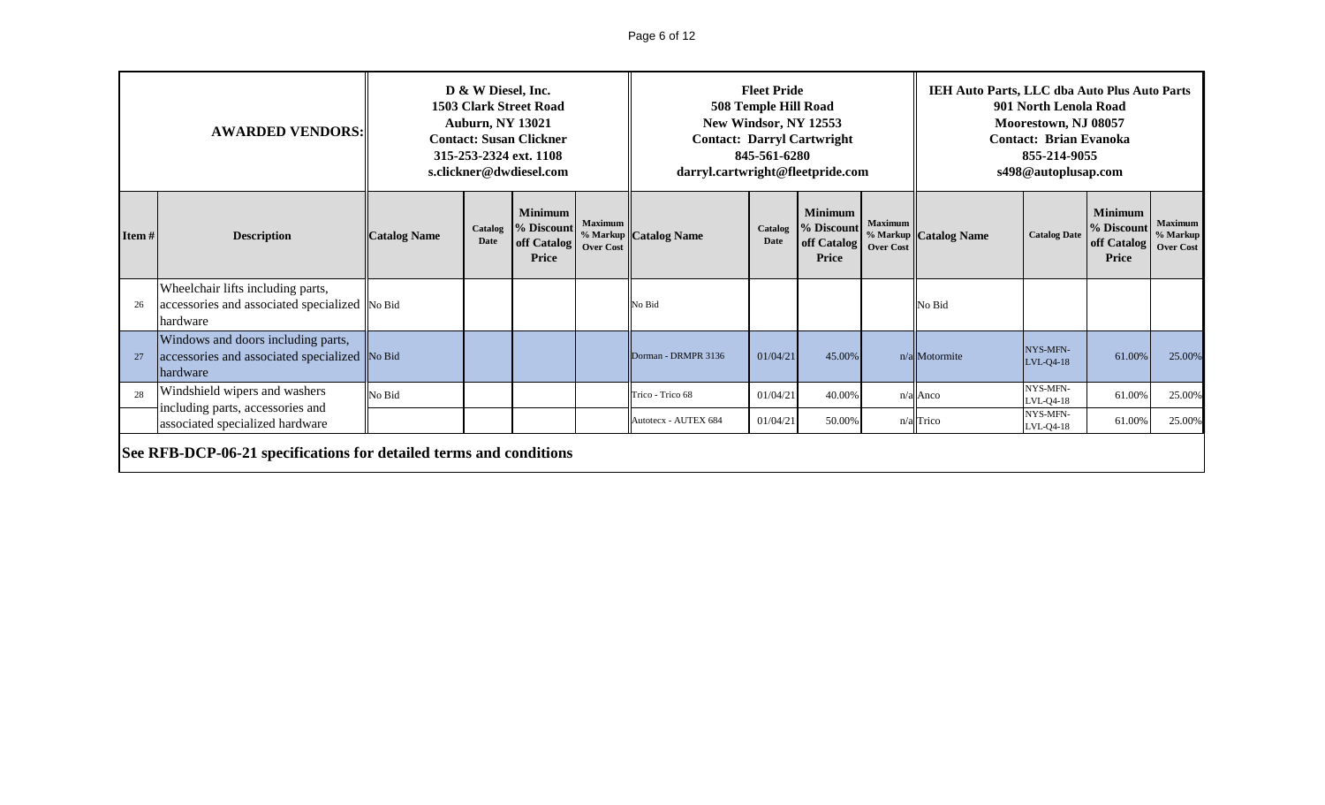# Page 6 of 12

|       | <b>AWARDED VENDORS:</b>                                                                                |                     | D & W Diesel, Inc.<br><b>Auburn, NY 13021</b> | <b>1503 Clark Street Road</b><br><b>Contact: Susan Clickner</b><br>315-253-2324 ext. 1108<br>s.clickner@dwdiesel.com |                | darryl.cartwright@fleetpride.com | <b>Fleet Pride</b><br>508 Temple Hill Road<br>845-561-6280 | New Windsor, NY 12553<br><b>Contact: Darryl Cartwright</b>  |                                    | IEH Auto Parts, LLC dba Auto Plus Auto Parts | 901 North Lenola Road<br>Moorestown, NJ 08057<br><b>Contact: Brian Evanoka</b><br>855-214-9055<br>s498@autoplusap.com |                                               |                                                |
|-------|--------------------------------------------------------------------------------------------------------|---------------------|-----------------------------------------------|----------------------------------------------------------------------------------------------------------------------|----------------|----------------------------------|------------------------------------------------------------|-------------------------------------------------------------|------------------------------------|----------------------------------------------|-----------------------------------------------------------------------------------------------------------------------|-----------------------------------------------|------------------------------------------------|
| Item# | <b>Description</b>                                                                                     | <b>Catalog Name</b> | Catalog<br>Date                               | <b>Minimum</b><br>% Discount<br>off Catalog   Over Cost<br><b>Price</b>                                              | <b>Maximum</b> | % Markup Catalog Name            | Catalog<br>Date                                            | <b>Minimum</b><br>% Discount<br>off Catalog<br><b>Price</b> | <b>Maximum</b><br><b>Over Cost</b> | % Markup Catalog Name                        | <b>Catalog Date</b>                                                                                                   | Minimum<br>% Discount<br>off Catalog<br>Price | <b>Maximum</b><br>% Markup<br><b>Over Cost</b> |
|       | Wheelchair lifts including parts,<br>accessories and associated specialized No Bid<br>hardware         |                     |                                               |                                                                                                                      |                | No Bid                           |                                                            |                                                             |                                    | No Bid                                       |                                                                                                                       |                                               |                                                |
|       | Windows and doors including parts,<br>accessories and associated specialized No Bid<br><b>hardware</b> |                     |                                               |                                                                                                                      |                | Dorman - DRMPR 3136              | 01/04/21                                                   | 45.00%                                                      |                                    | n/a Motormite                                | NYS-MFN-<br>LVL-04-18                                                                                                 | 61.00%                                        | 25.00%                                         |
| 28    | Windshield wipers and washers<br>including parts, accessories and                                      | No Bid              |                                               |                                                                                                                      |                | Trico - Trico 68                 | 01/04/21                                                   | 40.00%                                                      |                                    | $n/a$ Anco                                   | NYS-MFN-<br>LVL-Q4-18                                                                                                 | 61.00%                                        | 25.00%                                         |
|       | associated specialized hardware                                                                        |                     |                                               |                                                                                                                      |                | Autotecx - AUTEX 684             | 01/04/21                                                   | 50.00%                                                      |                                    | $n/a$ Trico                                  | NYS-MFN-<br>LVL-04-18                                                                                                 | 61.00%                                        | 25.00%                                         |
|       | See RFB-DCP-06-21 specifications for detailed terms and conditions                                     |                     |                                               |                                                                                                                      |                |                                  |                                                            |                                                             |                                    |                                              |                                                                                                                       |                                               |                                                |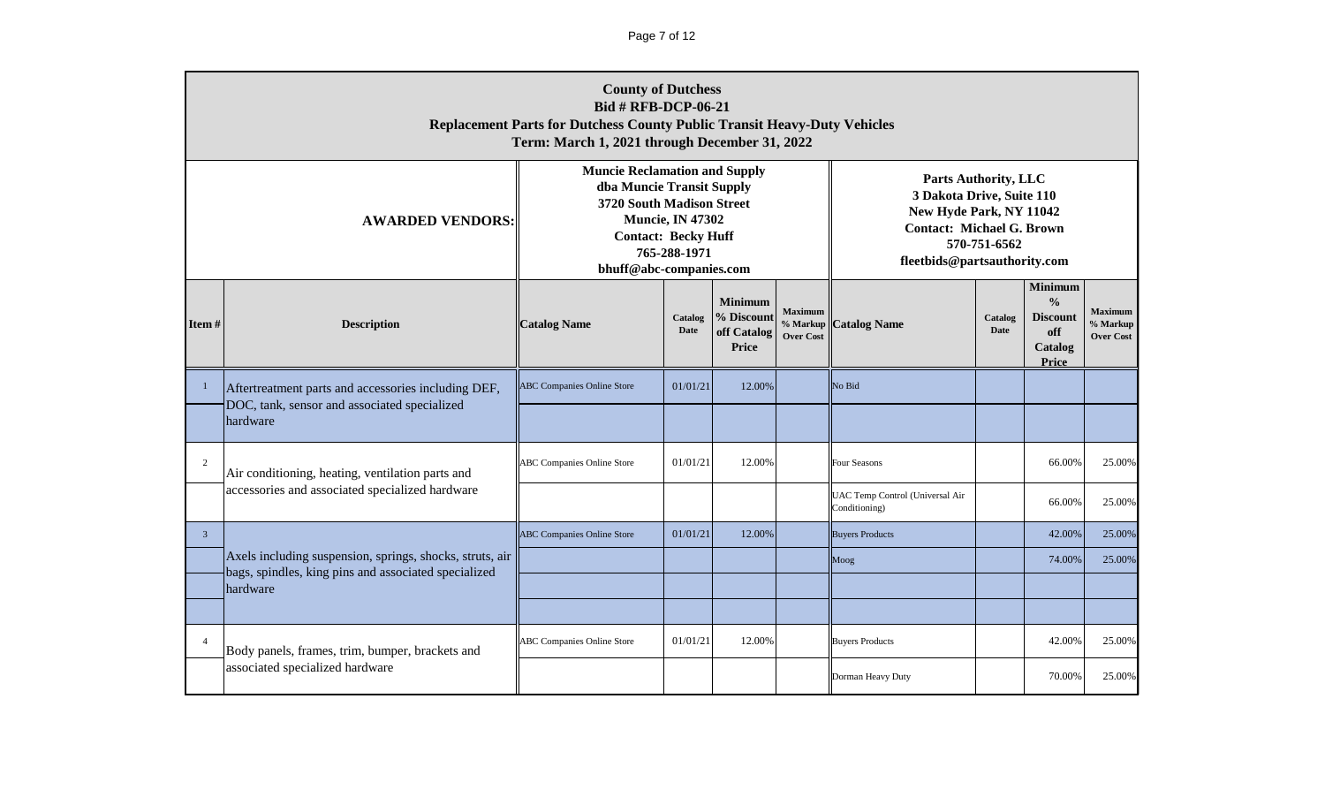|                | <b>County of Dutchess</b><br><b>Bid # RFB-DCP-06-21</b><br><b>Replacement Parts for Dutchess County Public Transit Heavy-Duty Vehicles</b><br>Term: March 1, 2021 through December 31, 2022<br><b>Muncie Reclamation and Supply</b> |                                                                                                                 |                                         |                                                      |                                                |                                                                                                                                                         |                        |                                                                               |                                                |  |  |  |
|----------------|-------------------------------------------------------------------------------------------------------------------------------------------------------------------------------------------------------------------------------------|-----------------------------------------------------------------------------------------------------------------|-----------------------------------------|------------------------------------------------------|------------------------------------------------|---------------------------------------------------------------------------------------------------------------------------------------------------------|------------------------|-------------------------------------------------------------------------------|------------------------------------------------|--|--|--|
|                | <b>AWARDED VENDORS:</b>                                                                                                                                                                                                             | dba Muncie Transit Supply<br>3720 South Madison Street<br><b>Contact: Becky Huff</b><br>bhuff@abc-companies.com | <b>Muncie, IN 47302</b><br>765-288-1971 |                                                      |                                                | <b>Parts Authority, LLC</b><br>3 Dakota Drive, Suite 110<br>New Hyde Park, NY 11042<br><b>Contact: Michael G. Brown</b><br>fleetbids@partsauthority.com | 570-751-6562           |                                                                               |                                                |  |  |  |
| Item#          | <b>Description</b>                                                                                                                                                                                                                  | <b>Catalog Name</b>                                                                                             | Catalog<br><b>Date</b>                  | <b>Minimum</b><br>% Discount<br>off Catalog<br>Price | <b>Maximum</b><br>% Markup<br><b>Over Cost</b> | <b>Catalog Name</b>                                                                                                                                     | Catalog<br><b>Date</b> | <b>Minimum</b><br>$\frac{0}{0}$<br><b>Discount</b><br>off<br>Catalog<br>Price | <b>Maximum</b><br>% Markup<br><b>Over Cost</b> |  |  |  |
|                | Aftertreatment parts and accessories including DEF,                                                                                                                                                                                 | <b>ABC Companies Online Store</b>                                                                               | 01/01/21                                | 12.00%                                               |                                                | No Bid                                                                                                                                                  |                        |                                                                               |                                                |  |  |  |
|                | DOC, tank, sensor and associated specialized<br>hardware                                                                                                                                                                            |                                                                                                                 |                                         |                                                      |                                                |                                                                                                                                                         |                        |                                                                               |                                                |  |  |  |
| $\overline{2}$ | Air conditioning, heating, ventilation parts and                                                                                                                                                                                    | <b>ABC Companies Online Store</b>                                                                               | 01/01/21                                | 12.00%                                               |                                                | Four Seasons                                                                                                                                            |                        | 66.00%                                                                        | 25.00%                                         |  |  |  |
|                | accessories and associated specialized hardware                                                                                                                                                                                     |                                                                                                                 |                                         |                                                      |                                                | UAC Temp Control (Universal Air<br>Conditioning)                                                                                                        |                        | 66.00%                                                                        | 25.00%                                         |  |  |  |
| $\mathbf{3}$   |                                                                                                                                                                                                                                     | <b>ABC Companies Online Store</b>                                                                               | 01/01/21                                | 12.00%                                               |                                                | <b>Buyers Products</b>                                                                                                                                  |                        | 42.00%                                                                        | 25.00%                                         |  |  |  |
|                | Axels including suspension, springs, shocks, struts, air<br>bags, spindles, king pins and associated specialized                                                                                                                    |                                                                                                                 |                                         |                                                      |                                                | Moog                                                                                                                                                    |                        | 74.00%                                                                        | 25.00%                                         |  |  |  |
|                | hardware                                                                                                                                                                                                                            |                                                                                                                 |                                         |                                                      |                                                |                                                                                                                                                         |                        |                                                                               |                                                |  |  |  |
|                |                                                                                                                                                                                                                                     |                                                                                                                 |                                         |                                                      |                                                |                                                                                                                                                         |                        |                                                                               |                                                |  |  |  |
| $\overline{4}$ | Body panels, frames, trim, bumper, brackets and                                                                                                                                                                                     | <b>ABC Companies Online Store</b>                                                                               | 01/01/21                                | 12.00%                                               |                                                | <b>Buyers Products</b>                                                                                                                                  |                        | 42.00%                                                                        | 25.00%                                         |  |  |  |
|                | associated specialized hardware                                                                                                                                                                                                     |                                                                                                                 |                                         |                                                      |                                                | Dorman Heavy Duty                                                                                                                                       |                        | 70.00%                                                                        | 25.00%                                         |  |  |  |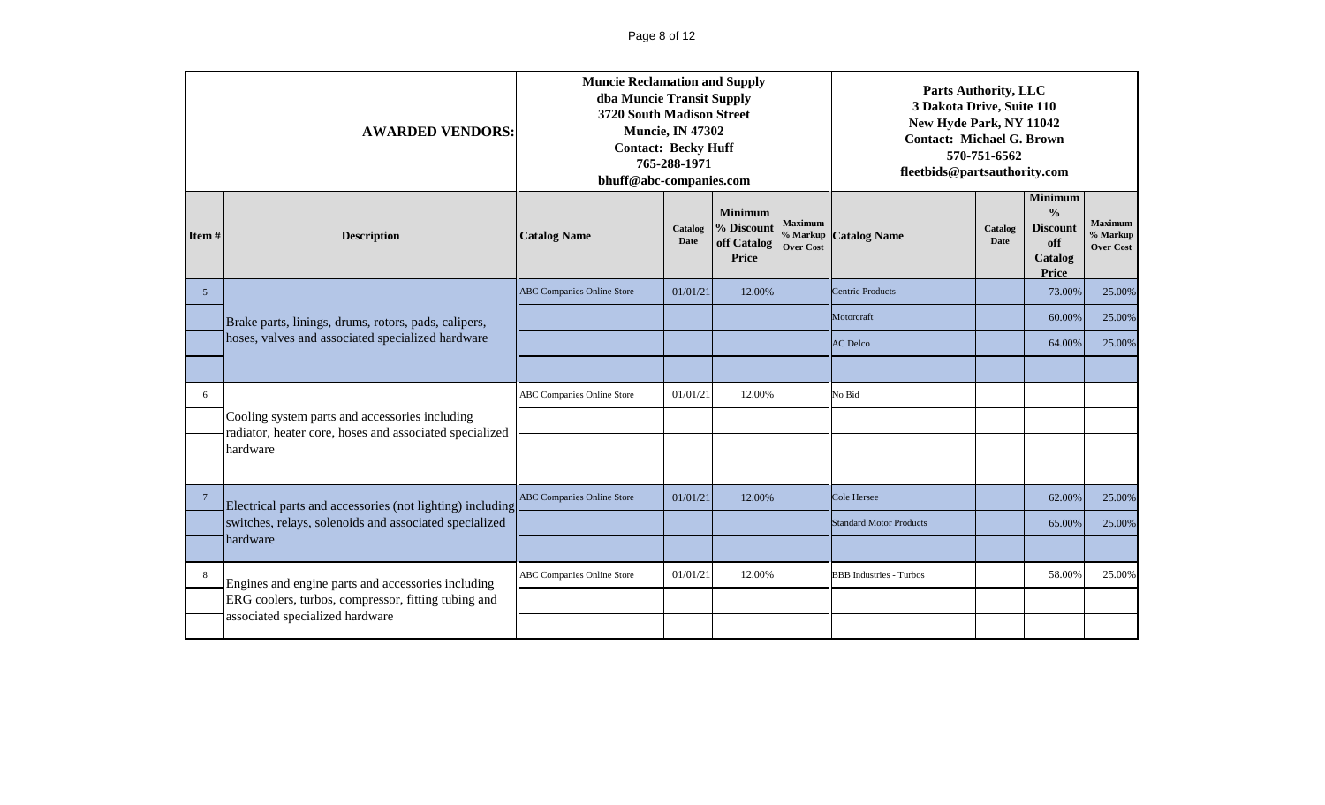# Page 8 of 12

|                 | <b>AWARDED VENDORS:</b>                                                                                   | <b>Muncie Reclamation and Supply</b><br>dba Muncie Transit Supply<br>3720 South Madison Street<br><b>Contact: Becky Huff</b><br>bhuff@abc-companies.com | <b>Muncie, IN 47302</b><br>765-288-1971 |                                                      |                                    | <b>Parts Authority, LLC</b><br>3 Dakota Drive, Suite 110<br>New Hyde Park, NY 11042<br><b>Contact: Michael G. Brown</b><br>570-751-6562<br>fleetbids@partsauthority.com<br>Minimum |                        |                                                             |                                                |  |
|-----------------|-----------------------------------------------------------------------------------------------------------|---------------------------------------------------------------------------------------------------------------------------------------------------------|-----------------------------------------|------------------------------------------------------|------------------------------------|------------------------------------------------------------------------------------------------------------------------------------------------------------------------------------|------------------------|-------------------------------------------------------------|------------------------------------------------|--|
| Item $#$        | <b>Description</b>                                                                                        | <b>Catalog Name</b>                                                                                                                                     | Catalog<br>Date                         | <b>Minimum</b><br>% Discount<br>off Catalog<br>Price | <b>Maximum</b><br><b>Over Cost</b> | % Markup <b>Catalog Name</b>                                                                                                                                                       | Catalog<br><b>Date</b> | $\frac{0}{0}$<br><b>Discount</b><br>off<br>Catalog<br>Price | <b>Maximum</b><br>% Markup<br><b>Over Cost</b> |  |
| $5\overline{)}$ |                                                                                                           | <b>ABC Companies Online Store</b>                                                                                                                       | 01/01/21                                | 12.00%                                               |                                    | <b>Centric Products</b>                                                                                                                                                            |                        | 73.00%                                                      | 25.00%                                         |  |
|                 | Brake parts, linings, drums, rotors, pads, calipers,                                                      |                                                                                                                                                         |                                         |                                                      |                                    | Motorcraft                                                                                                                                                                         |                        | 60.00%                                                      | 25.00%                                         |  |
|                 | hoses, valves and associated specialized hardware                                                         |                                                                                                                                                         |                                         |                                                      |                                    | <b>AC</b> Delco                                                                                                                                                                    |                        | 64.00%                                                      | 25.00%                                         |  |
|                 |                                                                                                           |                                                                                                                                                         |                                         |                                                      |                                    |                                                                                                                                                                                    |                        |                                                             |                                                |  |
| 6               |                                                                                                           | <b>ABC Companies Online Store</b>                                                                                                                       | 01/01/21                                | 12.00%                                               |                                    | No Bid                                                                                                                                                                             |                        |                                                             |                                                |  |
|                 | Cooling system parts and accessories including<br>radiator, heater core, hoses and associated specialized |                                                                                                                                                         |                                         |                                                      |                                    |                                                                                                                                                                                    |                        |                                                             |                                                |  |
|                 | hardware                                                                                                  |                                                                                                                                                         |                                         |                                                      |                                    |                                                                                                                                                                                    |                        |                                                             |                                                |  |
|                 |                                                                                                           |                                                                                                                                                         |                                         |                                                      |                                    |                                                                                                                                                                                    |                        |                                                             |                                                |  |
| $7\phantom{.0}$ | Electrical parts and accessories (not lighting) including                                                 | <b>ABC Companies Online Store</b>                                                                                                                       | 01/01/21                                | 12.00%                                               |                                    | Cole Hersee                                                                                                                                                                        |                        | 62.00%                                                      | 25.00%                                         |  |
|                 | switches, relays, solenoids and associated specialized                                                    |                                                                                                                                                         |                                         |                                                      |                                    | <b>Standard Motor Products</b>                                                                                                                                                     |                        | 65.00%                                                      | 25.00%                                         |  |
|                 | hardware                                                                                                  |                                                                                                                                                         |                                         |                                                      |                                    |                                                                                                                                                                                    |                        |                                                             |                                                |  |
| 8               | Engines and engine parts and accessories including                                                        | <b>ABC Companies Online Store</b>                                                                                                                       | 01/01/21                                | 12.00%                                               |                                    | <b>BBB</b> Industries - Turbos                                                                                                                                                     |                        | 58.00%                                                      | 25.00%                                         |  |
|                 | ERG coolers, turbos, compressor, fitting tubing and                                                       |                                                                                                                                                         |                                         |                                                      |                                    |                                                                                                                                                                                    |                        |                                                             |                                                |  |
|                 | associated specialized hardware                                                                           |                                                                                                                                                         |                                         |                                                      |                                    |                                                                                                                                                                                    |                        |                                                             |                                                |  |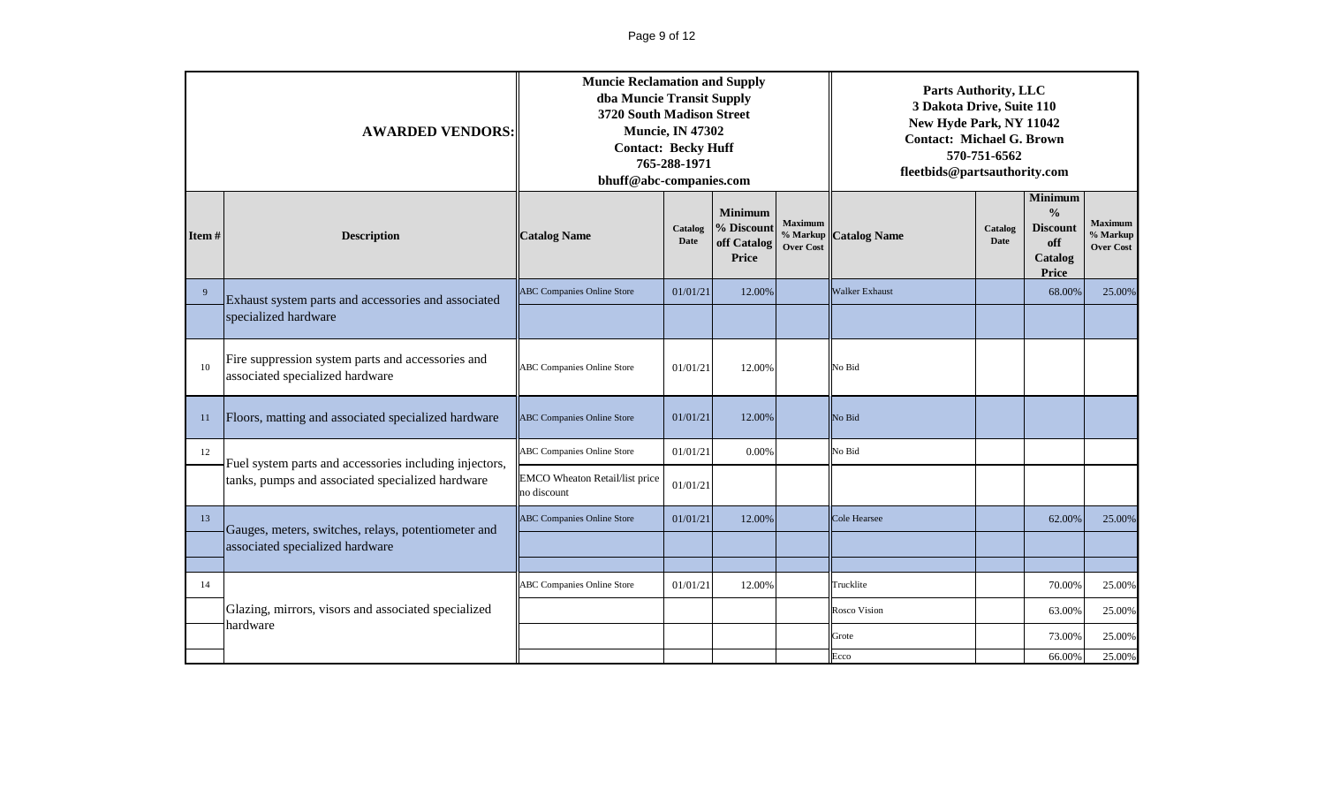|       | <b>AWARDED VENDORS:</b>                                                              | <b>Muncie Reclamation and Supply</b><br>dba Muncie Transit Supply<br>3720 South Madison Street<br><b>Contact: Becky Huff</b><br>bhuff@abc-companies.com | <b>Muncie, IN 47302</b><br>765-288-1971 |                                                      |                                    | <b>Parts Authority, LLC</b><br>3 Dakota Drive, Suite 110<br>New Hyde Park, NY 11042<br><b>Contact: Michael G. Brown</b><br>570-751-6562<br>fleetbids@partsauthority.com |                        |                                                                        |                                                |
|-------|--------------------------------------------------------------------------------------|---------------------------------------------------------------------------------------------------------------------------------------------------------|-----------------------------------------|------------------------------------------------------|------------------------------------|-------------------------------------------------------------------------------------------------------------------------------------------------------------------------|------------------------|------------------------------------------------------------------------|------------------------------------------------|
| Item# | <b>Description</b>                                                                   | <b>Catalog Name</b>                                                                                                                                     | Catalog<br><b>Date</b>                  | <b>Minimum</b><br>% Discount<br>off Catalog<br>Price | <b>Maximum</b><br><b>Over Cost</b> | % Markup Catalog Name                                                                                                                                                   | Catalog<br><b>Date</b> | Minimum<br>$\frac{0}{0}$<br><b>Discount</b><br>off<br>Catalog<br>Price | <b>Maximum</b><br>% Markup<br><b>Over Cost</b> |
| 9     | Exhaust system parts and accessories and associated                                  | <b>ABC Companies Online Store</b>                                                                                                                       | 01/01/21                                | 12.00%                                               |                                    | <b>Walker Exhaust</b>                                                                                                                                                   |                        | 68.00%                                                                 | 25.00%                                         |
|       | specialized hardware                                                                 |                                                                                                                                                         |                                         |                                                      |                                    |                                                                                                                                                                         |                        |                                                                        |                                                |
| 10    | Fire suppression system parts and accessories and<br>associated specialized hardware | <b>ABC</b> Companies Online Store                                                                                                                       | 01/01/21                                | 12.00%                                               |                                    | No Bid                                                                                                                                                                  |                        |                                                                        |                                                |
| 11    | Floors, matting and associated specialized hardware                                  | <b>ABC Companies Online Store</b>                                                                                                                       | 01/01/21                                | 12.00%                                               |                                    | No Bid                                                                                                                                                                  |                        |                                                                        |                                                |
| 12    | Fuel system parts and accessories including injectors,                               | <b>ABC Companies Online Store</b>                                                                                                                       | 01/01/21                                | 0.00%                                                |                                    | No Bid                                                                                                                                                                  |                        |                                                                        |                                                |
|       | tanks, pumps and associated specialized hardware                                     | <b>EMCO</b> Wheaton Retail/list price<br>no discount                                                                                                    | 01/01/21                                |                                                      |                                    |                                                                                                                                                                         |                        |                                                                        |                                                |
| 13    | Gauges, meters, switches, relays, potentiometer and                                  | <b>ABC Companies Online Store</b>                                                                                                                       | 01/01/21                                | 12.00%                                               |                                    | <b>Cole Hearsee</b>                                                                                                                                                     |                        | 62.00%                                                                 | 25.00%                                         |
|       | associated specialized hardware                                                      |                                                                                                                                                         |                                         |                                                      |                                    |                                                                                                                                                                         |                        |                                                                        |                                                |
|       |                                                                                      |                                                                                                                                                         | 01/01/21                                | 12.00%                                               |                                    |                                                                                                                                                                         |                        | 70.00%                                                                 |                                                |
| 14    |                                                                                      | <b>ABC Companies Online Store</b>                                                                                                                       |                                         |                                                      |                                    | Trucklite                                                                                                                                                               |                        |                                                                        | 25.00%                                         |
|       | Glazing, mirrors, visors and associated specialized<br>hardware                      |                                                                                                                                                         |                                         |                                                      |                                    | <b>Rosco Vision</b>                                                                                                                                                     |                        | 63.00%                                                                 | 25.00%                                         |
|       |                                                                                      |                                                                                                                                                         |                                         |                                                      |                                    | Grote<br>Ecco                                                                                                                                                           |                        | 73.00%<br>66.00%                                                       | 25.00%<br>25.00%                               |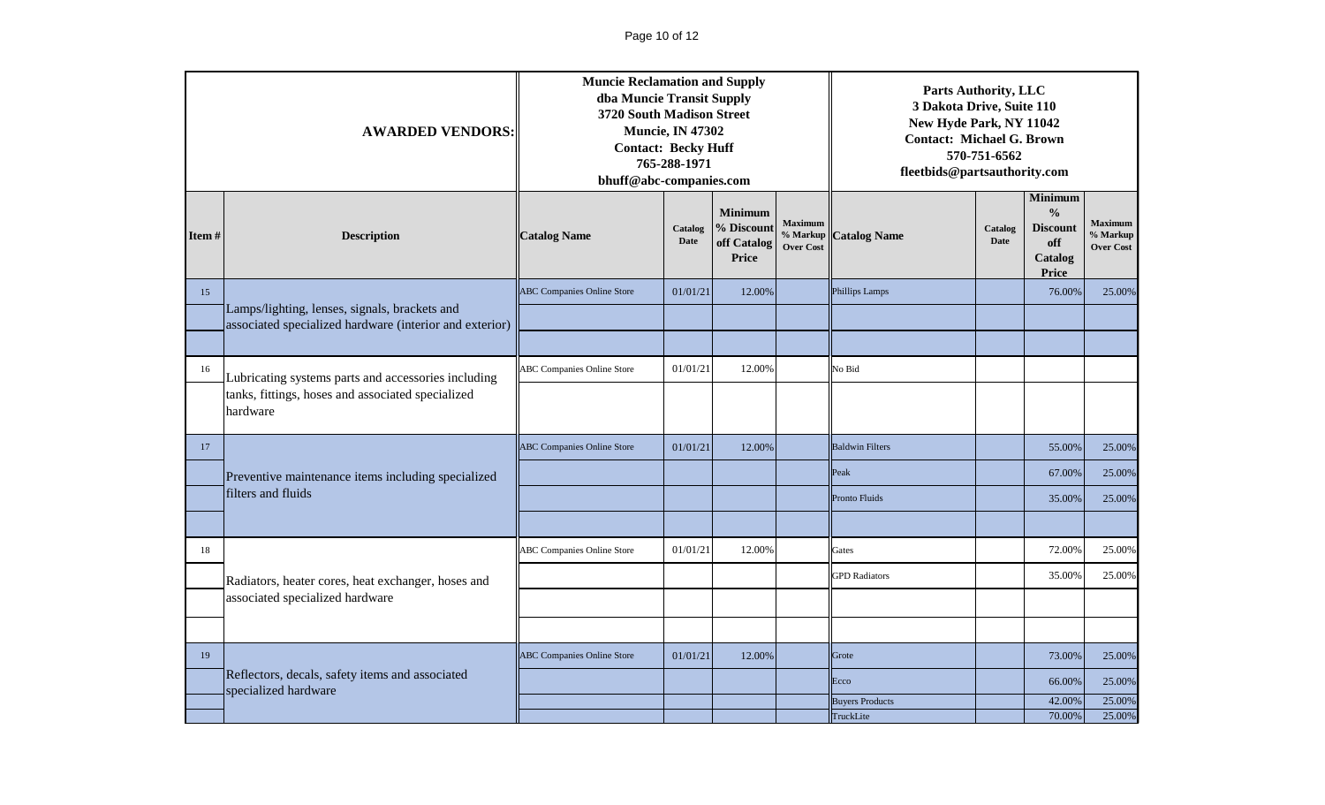|       | <b>AWARDED VENDORS:</b>                                                 | <b>Muncie Reclamation and Supply</b><br>dba Muncie Transit Supply<br>3720 South Madison Street<br><b>Contact: Becky Huff</b><br>bhuff@abc-companies.com | <b>Muncie, IN 47302</b><br>765-288-1971 |                                                      |                                         | <b>Parts Authority, LLC</b><br>3 Dakota Drive, Suite 110<br>New Hyde Park, NY 11042<br><b>Contact: Michael G. Brown</b><br>570-751-6562<br>fleetbids@partsauthority.com<br><b>Minimum</b> |                        |                                                                    |                                                |  |
|-------|-------------------------------------------------------------------------|---------------------------------------------------------------------------------------------------------------------------------------------------------|-----------------------------------------|------------------------------------------------------|-----------------------------------------|-------------------------------------------------------------------------------------------------------------------------------------------------------------------------------------------|------------------------|--------------------------------------------------------------------|------------------------------------------------|--|
| Item# | <b>Description</b>                                                      | <b>Catalog Name</b>                                                                                                                                     | Catalog<br><b>Date</b>                  | <b>Minimum</b><br>% Discount<br>off Catalog<br>Price | Maximum<br>% Markup<br><b>Over Cost</b> | <b>Catalog Name</b>                                                                                                                                                                       | Catalog<br><b>Date</b> | $\frac{0}{0}$<br><b>Discount</b><br>off<br>Catalog<br><b>Price</b> | <b>Maximum</b><br>% Markup<br><b>Over Cost</b> |  |
| 15    | Lamps/lighting, lenses, signals, brackets and                           | <b>ABC Companies Online Store</b>                                                                                                                       | 01/01/21                                | 12.00%                                               |                                         | <b>Phillips Lamps</b>                                                                                                                                                                     |                        | 76.00%                                                             | 25.00%                                         |  |
|       | associated specialized hardware (interior and exterior)                 |                                                                                                                                                         |                                         |                                                      |                                         |                                                                                                                                                                                           |                        |                                                                    |                                                |  |
|       |                                                                         |                                                                                                                                                         |                                         |                                                      |                                         |                                                                                                                                                                                           |                        |                                                                    |                                                |  |
| 16    | Lubricating systems parts and accessories including                     | <b>ABC Companies Online Store</b>                                                                                                                       | 01/01/21                                | 12.00%                                               |                                         | No Bid                                                                                                                                                                                    |                        |                                                                    |                                                |  |
|       | tanks, fittings, hoses and associated specialized<br>hardware           |                                                                                                                                                         |                                         |                                                      |                                         |                                                                                                                                                                                           |                        |                                                                    |                                                |  |
| 17    |                                                                         | <b>ABC</b> Companies Online Store                                                                                                                       | 01/01/21                                | 12.00%                                               |                                         | <b>Baldwin Filters</b>                                                                                                                                                                    |                        | 55.00%                                                             | 25.00%                                         |  |
|       | Preventive maintenance items including specialized                      |                                                                                                                                                         |                                         |                                                      |                                         | Peak                                                                                                                                                                                      |                        | 67.00%                                                             | 25.00%                                         |  |
|       | filters and fluids                                                      |                                                                                                                                                         |                                         |                                                      |                                         | <b>Pronto Fluids</b>                                                                                                                                                                      |                        | 35.00%                                                             | 25.00%                                         |  |
|       |                                                                         |                                                                                                                                                         |                                         |                                                      |                                         |                                                                                                                                                                                           |                        |                                                                    |                                                |  |
| 18    |                                                                         | <b>ABC Companies Online Store</b>                                                                                                                       | 01/01/21                                | 12.00%                                               |                                         | Gates                                                                                                                                                                                     |                        | 72.00%                                                             | 25.00%                                         |  |
|       | Radiators, heater cores, heat exchanger, hoses and                      |                                                                                                                                                         |                                         |                                                      |                                         | <b>GPD Radiators</b>                                                                                                                                                                      |                        | 35.00%                                                             | 25.00%                                         |  |
|       | associated specialized hardware                                         |                                                                                                                                                         |                                         |                                                      |                                         |                                                                                                                                                                                           |                        |                                                                    |                                                |  |
|       |                                                                         |                                                                                                                                                         |                                         |                                                      |                                         |                                                                                                                                                                                           |                        |                                                                    |                                                |  |
| 19    |                                                                         | <b>ABC Companies Online Store</b>                                                                                                                       | 01/01/21                                | 12.00%                                               |                                         | Grote                                                                                                                                                                                     |                        | 73.00%                                                             | 25.00%                                         |  |
|       | Reflectors, decals, safety items and associated<br>specialized hardware |                                                                                                                                                         |                                         |                                                      |                                         | Ecco                                                                                                                                                                                      |                        | 66.00%                                                             | 25.00%                                         |  |
|       |                                                                         |                                                                                                                                                         |                                         |                                                      |                                         | <b>Buyers Products</b><br>TruckLite                                                                                                                                                       |                        | 42.00%<br>70.00%                                                   | 25.00%<br>25.00%                               |  |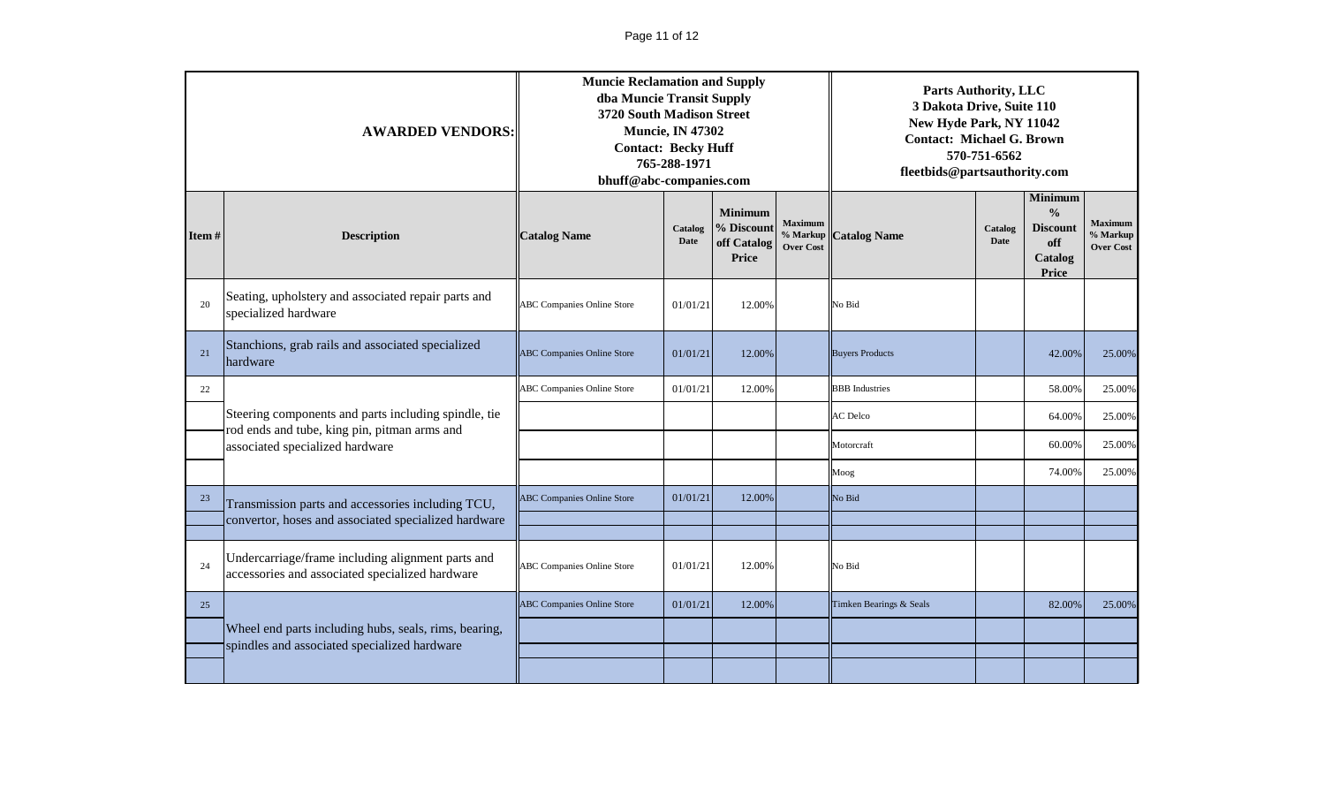|          | <b>AWARDED VENDORS:</b>                                                                                                                                                                                                                                      | <b>Muncie Reclamation and Supply</b><br>dba Muncie Transit Supply<br>3720 South Madison Street<br><b>Contact: Becky Huff</b><br>bhuff@abc-companies.com | <b>Muncie, IN 47302</b><br>765-288-1971 |                                                      |                                                | <b>Parts Authority, LLC</b><br>3 Dakota Drive, Suite 110<br>New Hyde Park, NY 11042<br><b>Contact: Michael G. Brown</b><br>570-751-6562<br>fleetbids@partsauthority.com<br>Minimum |                        |                                                             |                                                |  |  |
|----------|--------------------------------------------------------------------------------------------------------------------------------------------------------------------------------------------------------------------------------------------------------------|---------------------------------------------------------------------------------------------------------------------------------------------------------|-----------------------------------------|------------------------------------------------------|------------------------------------------------|------------------------------------------------------------------------------------------------------------------------------------------------------------------------------------|------------------------|-------------------------------------------------------------|------------------------------------------------|--|--|
| Item $#$ | <b>Description</b>                                                                                                                                                                                                                                           | <b>Catalog Name</b>                                                                                                                                     | Catalog<br>Date                         | <b>Minimum</b><br>% Discount<br>off Catalog<br>Price | <b>Maximum</b><br>% Markup<br><b>Over Cost</b> | <b>Catalog Name</b>                                                                                                                                                                | Catalog<br><b>Date</b> | $\frac{0}{0}$<br><b>Discount</b><br>off<br>Catalog<br>Price | <b>Maximum</b><br>% Markup<br><b>Over Cost</b> |  |  |
| 20       | Seating, upholstery and associated repair parts and<br>specialized hardware                                                                                                                                                                                  | <b>ABC Companies Online Store</b>                                                                                                                       | 01/01/21                                | 12.00%                                               |                                                | No Bid                                                                                                                                                                             |                        |                                                             |                                                |  |  |
| 21       | Stanchions, grab rails and associated specialized<br>hardware                                                                                                                                                                                                | <b>ABC Companies Online Store</b>                                                                                                                       | 01/01/21                                | 12.00%                                               |                                                | <b>Buyers Products</b>                                                                                                                                                             |                        | 42.00%                                                      | 25.00%                                         |  |  |
| 22       |                                                                                                                                                                                                                                                              | ABC Companies Online Store                                                                                                                              | 01/01/21                                | 12.00%                                               |                                                | <b>BBB</b> Industries                                                                                                                                                              |                        | 58.00%                                                      | 25.00%                                         |  |  |
|          | Steering components and parts including spindle, tie                                                                                                                                                                                                         |                                                                                                                                                         |                                         |                                                      |                                                | AC Delco                                                                                                                                                                           |                        | 64.00%                                                      | 25.00%                                         |  |  |
|          | associated specialized hardware                                                                                                                                                                                                                              |                                                                                                                                                         |                                         |                                                      |                                                | Motorcraft                                                                                                                                                                         |                        | 60.00%                                                      | 25.00%                                         |  |  |
|          |                                                                                                                                                                                                                                                              |                                                                                                                                                         |                                         |                                                      |                                                | Moog                                                                                                                                                                               |                        | 74.00%                                                      | 25.00%                                         |  |  |
| 23       | Transmission parts and accessories including TCU,                                                                                                                                                                                                            | <b>ABC Companies Online Store</b>                                                                                                                       | 01/01/21                                | 12.00%                                               |                                                | No Bid                                                                                                                                                                             |                        |                                                             |                                                |  |  |
|          |                                                                                                                                                                                                                                                              |                                                                                                                                                         |                                         |                                                      |                                                |                                                                                                                                                                                    |                        |                                                             |                                                |  |  |
| 24       |                                                                                                                                                                                                                                                              | <b>ABC Companies Online Store</b>                                                                                                                       | 01/01/21                                | 12.00%                                               |                                                | No Bid                                                                                                                                                                             |                        |                                                             |                                                |  |  |
| 25       |                                                                                                                                                                                                                                                              | <b>ABC Companies Online Store</b>                                                                                                                       | 01/01/21                                | 12.00%                                               |                                                | Timken Bearings & Seals                                                                                                                                                            |                        | 82.00%                                                      | 25.00%                                         |  |  |
|          | Wheel end parts including hubs, seals, rims, bearing,                                                                                                                                                                                                        |                                                                                                                                                         |                                         |                                                      |                                                |                                                                                                                                                                                    |                        |                                                             |                                                |  |  |
|          |                                                                                                                                                                                                                                                              |                                                                                                                                                         |                                         |                                                      |                                                |                                                                                                                                                                                    |                        |                                                             |                                                |  |  |
|          | rod ends and tube, king pin, pitman arms and<br>convertor, hoses and associated specialized hardware<br>Undercarriage/frame including alignment parts and<br>accessories and associated specialized hardware<br>spindles and associated specialized hardware |                                                                                                                                                         |                                         |                                                      |                                                |                                                                                                                                                                                    |                        |                                                             |                                                |  |  |